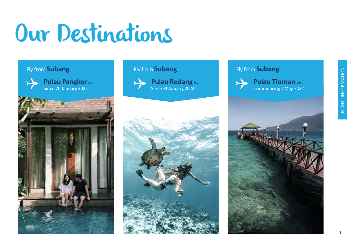# Our Destinations

## Fly from **Subang**



**Pulau Pangkor v.v** Since 26 January 2022



## Fly from **Subang**



**Pulau Redang W.V** Since 31 January 2022

## Fly from **Subang**





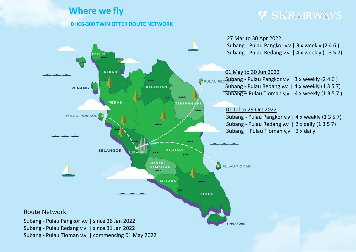# **Where we fly**

## **DHC6-300 TWIN OTTER ROUTE NETWORK**

# Y SKSAIRWAYS